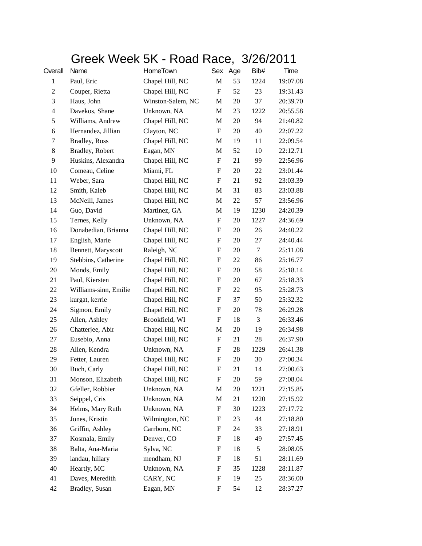## Greek Week 5K - Road Race, 3/26/2011

| Overall        | Name                  | HomeTown          |                           | Sex Age | Bib#   | Time     |
|----------------|-----------------------|-------------------|---------------------------|---------|--------|----------|
| $\mathbf{1}$   | Paul, Eric            | Chapel Hill, NC   | M                         | 53      | 1224   | 19:07.08 |
| $\overline{c}$ | Couper, Rietta        | Chapel Hill, NC   | ${\bf F}$                 | 52      | 23     | 19:31.43 |
| 3              | Haus, John            | Winston-Salem, NC | M                         | 20      | 37     | 20:39.70 |
| $\overline{4}$ | Davekos, Shane        | Unknown, NA       | M                         | 23      | 1222   | 20:55.58 |
| 5              | Williams, Andrew      | Chapel Hill, NC   | M                         | 20      | 94     | 21:40.82 |
| 6              | Hernandez, Jillian    | Clayton, NC       | $\boldsymbol{\mathrm{F}}$ | 20      | 40     | 22:07.22 |
| 7              | Bradley, Ross         | Chapel Hill, NC   | M                         | 19      | 11     | 22:09.54 |
| 8              | Bradley, Robert       | Eagan, MN         | M                         | 52      | 10     | 22:12.71 |
| 9              | Huskins, Alexandra    | Chapel Hill, NC   | F                         | 21      | 99     | 22:56.96 |
| 10             | Comeau, Celine        | Miami, FL         | F                         | 20      | 22     | 23:01.44 |
| 11             | Weber, Sara           | Chapel Hill, NC   | ${\bf F}$                 | 21      | 92     | 23:03.39 |
| 12             | Smith, Kaleb          | Chapel Hill, NC   | M                         | 31      | 83     | 23:03.88 |
| 13             | McNeill, James        | Chapel Hill, NC   | M                         | 22      | 57     | 23:56.96 |
| 14             | Guo, David            | Martinez, GA      | M                         | 19      | 1230   | 24:20.39 |
| 15             | Ternes, Kelly         | Unknown, NA       | F                         | 20      | 1227   | 24:36.69 |
| 16             | Donabedian, Brianna   | Chapel Hill, NC   | $\boldsymbol{\mathrm{F}}$ | 20      | 26     | 24:40.22 |
| 17             | English, Marie        | Chapel Hill, NC   | $\boldsymbol{\mathrm{F}}$ | 20      | 27     | 24:40.44 |
| 18             | Bennett, Maryscott    | Raleigh, NC       | ${\bf F}$                 | 20      | $\tau$ | 25:11.08 |
| 19             | Stebbins, Catherine   | Chapel Hill, NC   | F                         | 22      | 86     | 25:16.77 |
| 20             | Monds, Emily          | Chapel Hill, NC   | F                         | 20      | 58     | 25:18.14 |
| 21             | Paul, Kiersten        | Chapel Hill, NC   | $\boldsymbol{\mathrm{F}}$ | 20      | 67     | 25:18.33 |
| 22             | Williams-sinn, Emilie | Chapel Hill, NC   | $\boldsymbol{\mathrm{F}}$ | 22      | 95     | 25:28.73 |
| 23             | kurgat, kerrie        | Chapel Hill, NC   | $\mathbf F$               | 37      | 50     | 25:32.32 |
| 24             | Sigmon, Emily         | Chapel Hill, NC   | F                         | 20      | 78     | 26:29.28 |
| 25             | Allen, Ashley         | Brookfield, WI    | F                         | 18      | 3      | 26:33.46 |
| 26             | Chatterjee, Abir      | Chapel Hill, NC   | M                         | 20      | 19     | 26:34.98 |
| 27             | Eusebio, Anna         | Chapel Hill, NC   | F                         | 21      | 28     | 26:37.90 |
| 28             | Allen, Kendra         | Unknown, NA       | $\mathbf F$               | 28      | 1229   | 26:41.38 |
| 29             | Fetter, Lauren        | Chapel Hill, NC   | F                         | 20      | 30     | 27:00.34 |
| 30             | Buch, Carly           | Chapel Hill, NC   | F                         | 21      | 14     | 27:00.63 |
| 31             | Monson, Elizabeth     | Chapel Hill, NC   | $\boldsymbol{F}$          | 20      | 59     | 27:08.04 |
| 32             | Gfeller, Robbier      | Unknown, NA       | M                         | 20      | 1221   | 27:15.85 |
| 33             | Seippel, Cris         | Unknown, NA       | M                         | 21      | 1220   | 27:15.92 |
| 34             | Helms, Mary Ruth      | Unknown, NA       | F                         | 30      | 1223   | 27:17.72 |
| 35             | Jones, Kristin        | Wilmington, NC    | F                         | 23      | 44     | 27:18.80 |
| 36             | Griffin, Ashley       | Carrboro, NC      | $\boldsymbol{F}$          | 24      | 33     | 27:18.91 |
| 37             | Kosmala, Emily        | Denver, CO        | F                         | 18      | 49     | 27:57.45 |
| 38             | Balta, Ana-Maria      | Sylva, NC         | F                         | 18      | 5      | 28:08.05 |
| 39             | landau, hillary       | mendham, NJ       | F                         | 18      | 51     | 28:11.69 |
| 40             | Heartly, MC           | Unknown, NA       | F                         | 35      | 1228   | 28:11.87 |
| 41             | Daves, Meredith       | CARY, NC          | $\boldsymbol{F}$          | 19      | 25     | 28:36.00 |
| 42             | Bradley, Susan        | Eagan, MN         | F                         | 54      | 12     | 28:37.27 |